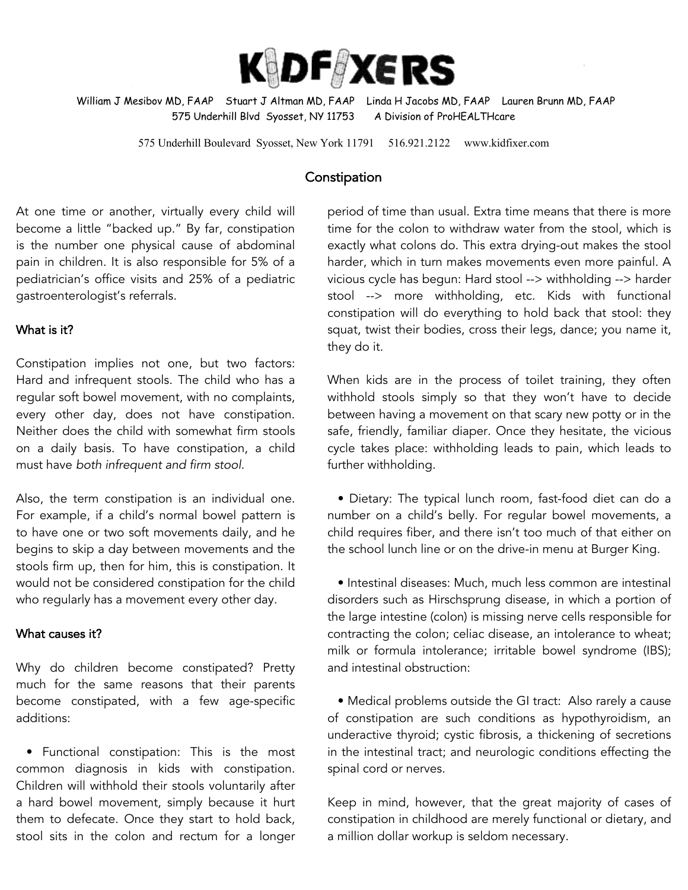

William J Mesibov MD, FAAP Stuart J Altman MD, FAAP Linda H Jacobs MD, FAAP Lauren Brunn MD, FAAP 575 Underhill Blvd Syosset, NY 11753 A Division of ProHEALTHcare

575 Underhill Boulevard Syosset, New York 11791 516.921.2122 www.kidfixer.com

# **Constipation**

At one time or another, virtually every child will become a little "backed up." By far, constipation is the number one physical cause of abdominal pain in children. It is also responsible for 5% of a pediatrician's office visits and 25% of a pediatric gastroenterologist's referrals.

## What is it?

Constipation implies not one, but two factors: Hard and infrequent stools. The child who has a regular soft bowel movement, with no complaints, every other day, does not have constipation. Neither does the child with somewhat firm stools on a daily basis. To have constipation, a child must have *both infrequent and firm stool*.

Also, the term constipation is an individual one. For example, if a child's normal bowel pattern is to have one or two soft movements daily, and he begins to skip a day between movements and the stools firm up, then for him, this is constipation. It would not be considered constipation for the child who regularly has a movement every other day.

## What causes it?

Why do children become constipated? Pretty much for the same reasons that their parents become constipated, with a few age-specific additions:

 • Functional constipation: This is the most common diagnosis in kids with constipation. Children will withhold their stools voluntarily after a hard bowel movement, simply because it hurt them to defecate. Once they start to hold back, stool sits in the colon and rectum for a longer

period of time than usual. Extra time means that there is more time for the colon to withdraw water from the stool, which is exactly what colons do. This extra drying-out makes the stool harder, which in turn makes movements even more painful. A vicious cycle has begun: Hard stool --> withholding --> harder stool --> more withholding, etc. Kids with functional constipation will do everything to hold back that stool: they squat, twist their bodies, cross their legs, dance; you name it, they do it.

When kids are in the process of toilet training, they often withhold stools simply so that they won't have to decide between having a movement on that scary new potty or in the safe, friendly, familiar diaper. Once they hesitate, the vicious cycle takes place: withholding leads to pain, which leads to further withholding.

 • Dietary: The typical lunch room, fast-food diet can do a number on a child's belly. For regular bowel movements, a child requires fiber, and there isn't too much of that either on the school lunch line or on the drive-in menu at Burger King.

 • Intestinal diseases: Much, much less common are intestinal disorders such as Hirschsprung disease, in which a portion of the large intestine (colon) is missing nerve cells responsible for contracting the colon; celiac disease, an intolerance to wheat; milk or formula intolerance; irritable bowel syndrome (IBS); and intestinal obstruction:

 • Medical problems outside the GI tract: Also rarely a cause of constipation are such conditions as hypothyroidism, an underactive thyroid; cystic fibrosis, a thickening of secretions in the intestinal tract; and neurologic conditions effecting the spinal cord or nerves.

Keep in mind, however, that the great majority of cases of constipation in childhood are merely functional or dietary, and a million dollar workup is seldom necessary.